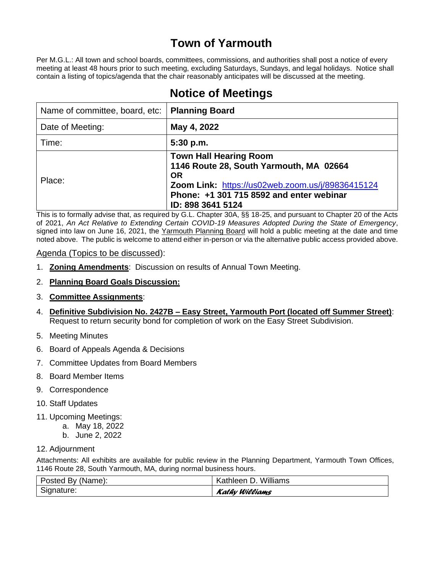# **Town of Yarmouth**

Per M.G.L.: All town and school boards, committees, commissions, and authorities shall post a notice of every meeting at least 48 hours prior to such meeting, excluding Saturdays, Sundays, and legal holidays. Notice shall contain a listing of topics/agenda that the chair reasonably anticipates will be discussed at the meeting.

| Name of committee, board, etc: | <b>Planning Board</b>                                                                                                                                                                                      |
|--------------------------------|------------------------------------------------------------------------------------------------------------------------------------------------------------------------------------------------------------|
| Date of Meeting:               | May 4, 2022                                                                                                                                                                                                |
| Time:                          | 5:30 p.m.                                                                                                                                                                                                  |
| Place:                         | <b>Town Hall Hearing Room</b><br>1146 Route 28, South Yarmouth, MA 02664<br><b>OR</b><br>Zoom Link: https://us02web.zoom.us/j/89836415124<br>Phone: +1 301 715 8592 and enter webinar<br>ID: 898 3641 5124 |

# **Notice of Meetings**

This is to formally advise that, as required by G.L. Chapter 30A, §§ 18-25, and pursuant to Chapter 20 of the Acts of 2021, *An Act Relative to Extending Certain COVID-19 Measures Adopted During the State of Emergency*, signed into law on June 16, 2021, the Yarmouth Planning Board will hold a public meeting at the date and time noted above. The public is welcome to attend either in-person or via the alternative public access provided above.

# Agenda (Topics to be discussed):

- 1. **Zoning Amendments**: Discussion on results of Annual Town Meeting.
- 2. **Planning Board Goals Discussion:**

# 3. **Committee Assignments**:

- 4. **Definitive Subdivision No. 2427B – Easy Street, Yarmouth Port (located off Summer Street)**: Request to return security bond for completion of work on the Easy Street Subdivision.
- 5. Meeting Minutes
- 6. Board of Appeals Agenda & Decisions
- 7. Committee Updates from Board Members
- 8. Board Member Items
- 9. Correspondence
- 10. Staff Updates
- 11. Upcoming Meetings:
	- a. May 18, 2022
		- b. June 2, 2022
- 12. Adjournment

Attachments: All exhibits are available for public review in the Planning Department, Yarmouth Town Offices, 1146 Route 28, South Yarmouth, MA, during normal business hours.

| Posted By (Name): | Kathleen D. Williams |
|-------------------|----------------------|
| Signature:        | Kathy Williams       |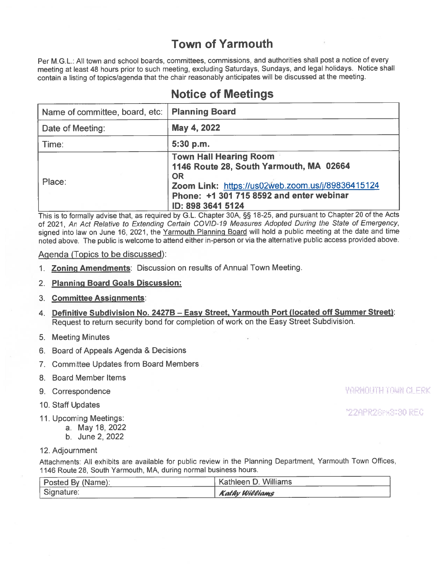# **Town of Yarmouth**

Per M.G.L.: All town and school boards, committees, commissions, and authorities shall post a notice of every meeting at least 48 hours prior to such meeting, excluding Saturdays, Sundays, and legal holidays. Notice shall contain a listing of topics/agenda that the chair reasonably anticipates will be discussed at the meeting.

| Name of committee, board, etc:   Planning Board |                                                                                                                                                                                                            |
|-------------------------------------------------|------------------------------------------------------------------------------------------------------------------------------------------------------------------------------------------------------------|
| Date of Meeting:                                | May 4, 2022                                                                                                                                                                                                |
| Time:                                           | 5:30 p.m.                                                                                                                                                                                                  |
| Place:                                          | <b>Town Hall Hearing Room</b><br>1146 Route 28, South Yarmouth, MA 02664<br><b>OR</b><br>Zoom Link: https://us02web.zoom.us/j/89836415124<br>Phone: +1 301 715 8592 and enter webinar<br>ID: 898 3641 5124 |

# **Notice of Meetings**

This is to formally advise that, as required by G.L. Chapter 30A, §§ 18-25, and pursuant to Chapter 20 of the Acts of 2021, An Act Relative to Extending Certain COVID-19 Measures Adopted During the State of Emergency, signed into law on June 16, 2021, the Yarmouth Planning Board will hold a public meeting at the date and time noted above. The public is welcome to attend either in-person or via the alternative public access provided above.

## Agenda (Topics to be discussed):

- 1. Zoning Amendments: Discussion on results of Annual Town Meeting.
- 2. Planning Board Goals Discussion:

#### 3. Committee Assignments:

- 4. Definitive Subdivision No. 2427B Easy Street, Yarmouth Port (located off Summer Street): Request to return security bond for completion of work on the Easy Street Subdivision.
- 5. Meeting Minutes
- 6. Board of Appeals Agenda & Decisions
- 7. Committee Updates from Board Members
- 8. Board Member Items
- 9. Correspondence
- 10. Staff Updates
- 11. Upcoming Meetings:
	- a. May 18, 2022
		- b. June 2, 2022

#### 12. Adjournment

Attachments: All exhibits are available for public review in the Planning Department, Yarmouth Town Offices, 1146 Route 28, South Yarmouth, MA, during normal business hours.

| Posted By (Name): | <sup>1</sup> Kathleen D. Williams |
|-------------------|-----------------------------------|
| Signature:        | <b>Kathy Williams</b>             |

*YARMOUTH TOWN CLERK* 

**"22APR28PKS130 REC**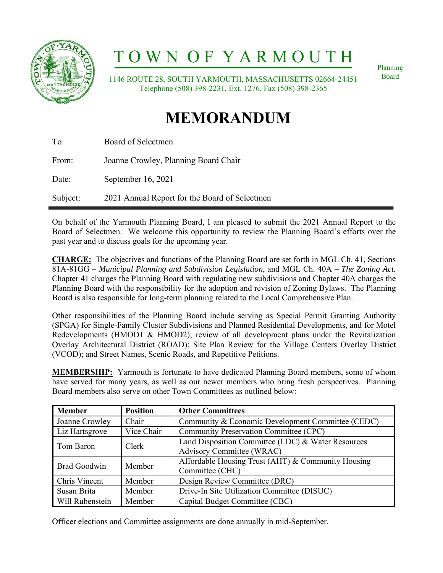

# T O W N O F Y A R M O U T H

 1146 ROUTE 28, SOUTH YARMOUTH, MASSACHUSETTS 02664-24451 Telephone (508) 398-2231, Ext. 1276, Fax (508) 398-2365

Planning Board

# **MEMORANDUM**

| Subject: | 2021 Annual Report for the Board of Selectmen |
|----------|-----------------------------------------------|
| Date:    | September 16, 2021                            |
| From:    | Joanne Crowley, Planning Board Chair          |
| To:      | Board of Selectmen                            |

On behalf of the Yarmouth Planning Board, I am pleased to submit the 2021 Annual Report to the Board of Selectmen. We welcome this opportunity to review the Planning Board's efforts over the past year and to discuss goals for the upcoming year.

**CHARGE:** The objectives and functions of the Planning Board are set forth in MGL Ch. 41, Sections 81A-81GG – *Municipal Planning and Subdivision Legislation*, and MGL Ch. 40A – *The Zoning Act.*  Chapter 41 charges the Planning Board with regulating new subdivisions and Chapter 40A charges the Planning Board with the responsibility for the adoption and revision of Zoning Bylaws. The Planning Board is also responsible for long-term planning related to the Local Comprehensive Plan.

Other responsibilities of the Planning Board include serving as Special Permit Granting Authority (SPGA) for Single-Family Cluster Subdivisions and Planned Residential Developments, and for Motel Redevelopments (HMOD1 & HMOD2); review of all development plans under the Revitalization Overlay Architectural District (ROAD); Site Plan Review for the Village Centers Overlay District (VCOD); and Street Names, Scenic Roads, and Repetitive Petitions.

**MEMBERSHIP:** Yarmouth is fortunate to have dedicated Planning Board members, some of whom have served for many years, as well as our newer members who bring fresh perspectives. Planning Board members also serve on other Town Committees as outlined below:

| <b>Member</b>       | <b>Position</b> | <b>Other Committees</b>                            |  |
|---------------------|-----------------|----------------------------------------------------|--|
| Joanne Crowley      | Chair           | Community & Economic Development Committee (CEDC)  |  |
| Liz Hartsgrove      | Vice Chair      | Community Preservation Committee (CPC)             |  |
| Tom Baron           | Clerk           | Land Disposition Committee (LDC) & Water Resources |  |
|                     |                 | Advisory Committee (WRAC)                          |  |
| <b>Brad Goodwin</b> | Member          | Affordable Housing Trust (AHT) & Community Housing |  |
|                     |                 | Committee (CHC)                                    |  |
| Chris Vincent       | Member          | Design Review Committee (DRC)                      |  |
| Susan Brita         | Member          | Drive-In Site Utilization Committee (DISUC)        |  |
| Will Rubenstein     | Member          | Capital Budget Committee (CBC)                     |  |

Officer elections and Committee assignments are done annually in mid-September.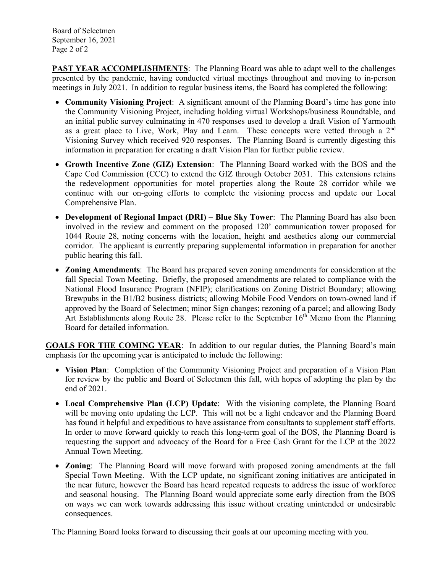Board of Selectmen September 16, 2021 Page 2 of 2

**PAST YEAR ACCOMPLISHMENTS**: The Planning Board was able to adapt well to the challenges presented by the pandemic, having conducted virtual meetings throughout and moving to in-person meetings in July 2021. In addition to regular business items, the Board has completed the following:

- **Community Visioning Project**: A significant amount of the Planning Board's time has gone into the Community Visioning Project, including holding virtual Workshops/business Roundtable, and an initial public survey culminating in 470 responses used to develop a draft Vision of Yarmouth as a great place to Live, Work, Play and Learn. These concepts were vetted through a 2<sup>nd</sup> Visioning Survey which received 920 responses. The Planning Board is currently digesting this information in preparation for creating a draft Vision Plan for further public review.
- **Growth Incentive Zone (GIZ) Extension**: The Planning Board worked with the BOS and the Cape Cod Commission (CCC) to extend the GIZ through October 2031. This extensions retains the redevelopment opportunities for motel properties along the Route 28 corridor while we continue with our on-going efforts to complete the visioning process and update our Local Comprehensive Plan.
- **Development of Regional Impact (DRI) Blue Sky Tower**: The Planning Board has also been involved in the review and comment on the proposed 120' communication tower proposed for 1044 Route 28, noting concerns with the location, height and aesthetics along our commercial corridor. The applicant is currently preparing supplemental information in preparation for another public hearing this fall.
- **Zoning Amendments**: The Board has prepared seven zoning amendments for consideration at the fall Special Town Meeting. Briefly, the proposed amendments are related to compliance with the National Flood Insurance Program (NFIP); clarifications on Zoning District Boundary; allowing Brewpubs in the B1/B2 business districts; allowing Mobile Food Vendors on town-owned land if approved by the Board of Selectmen; minor Sign changes; rezoning of a parcel; and allowing Body Art Establishments along Route 28. Please refer to the September  $16<sup>th</sup>$  Memo from the Planning Board for detailed information.

**GOALS FOR THE COMING YEAR**: In addition to our regular duties, the Planning Board's main emphasis for the upcoming year is anticipated to include the following:

- **Vision Plan**: Completion of the Community Visioning Project and preparation of a Vision Plan for review by the public and Board of Selectmen this fall, with hopes of adopting the plan by the end of 2021.
- **Local Comprehensive Plan (LCP) Update**: With the visioning complete, the Planning Board will be moving onto updating the LCP. This will not be a light endeavor and the Planning Board has found it helpful and expeditious to have assistance from consultants to supplement staff efforts. In order to move forward quickly to reach this long-term goal of the BOS, the Planning Board is requesting the support and advocacy of the Board for a Free Cash Grant for the LCP at the 2022 Annual Town Meeting.
- **Zoning**: The Planning Board will move forward with proposed zoning amendments at the fall Special Town Meeting. With the LCP update, no significant zoning initiatives are anticipated in the near future, however the Board has heard repeated requests to address the issue of workforce and seasonal housing. The Planning Board would appreciate some early direction from the BOS on ways we can work towards addressing this issue without creating unintended or undesirable consequences.

The Planning Board looks forward to discussing their goals at our upcoming meeting with you.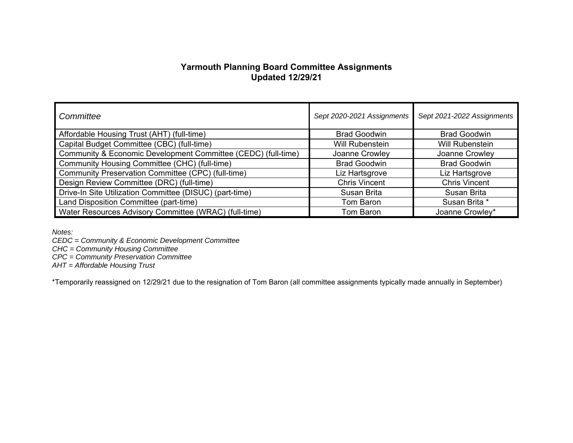# **Yarmouth Planning Board Committee Assignments Updated 12/29/21**

| Committee                                                     | Sept 2020-2021 Assignments | Sept 2021-2022 Assignments |
|---------------------------------------------------------------|----------------------------|----------------------------|
| Affordable Housing Trust (AHT) (full-time)                    | <b>Brad Goodwin</b>        | <b>Brad Goodwin</b>        |
| Capital Budget Committee (CBC) (full-time)                    | Will Rubenstein            | <b>Will Rubenstein</b>     |
| Community & Economic Development Committee (CEDC) (full-time) | Joanne Crowley             | Joanne Crowley             |
| Community Housing Committee (CHC) (full-time)                 | <b>Brad Goodwin</b>        | <b>Brad Goodwin</b>        |
| Community Preservation Committee (CPC) (full-time)            | Liz Hartsgrove             | Liz Hartsgrove             |
| Design Review Committee (DRC) (full-time)                     | <b>Chris Vincent</b>       | <b>Chris Vincent</b>       |
| Drive-In Site Utilization Committee (DISUC) (part-time)       | Susan Brita                | Susan Brita                |
| Land Disposition Committee (part-time)                        | Tom Baron                  | Susan Brita *              |
| Water Resources Advisory Committee (WRAC) (full-time)         | Tom Baron                  | Joanne Crowley*            |

*Notes:* 

*CEDC = Community & Economic Development Committee* 

*CHC = Community Housing Committee* 

*CPC = Community Preservation Committee* 

*AHT = Affordable Housing Trust* 

\*Temporarily reassigned on 12/29/21 due to the resignation of Tom Baron (all committee assignments typically made annually in September)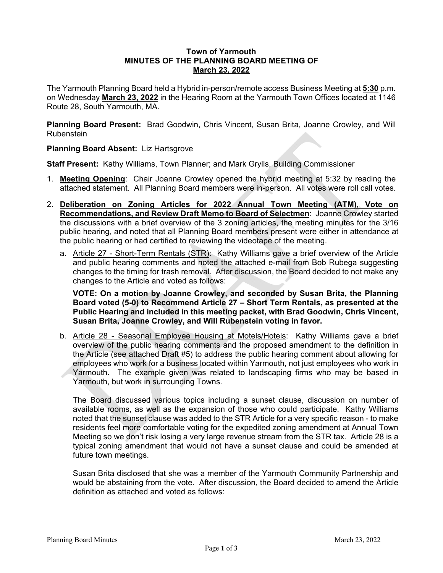### **Town of Yarmouth MINUTES OF THE PLANNING BOARD MEETING OF March 23, 2022**

The Yarmouth Planning Board held a Hybrid in-person/remote access Business Meeting at **5:30** p.m. on Wednesday **March 23, 2022** in the Hearing Room at the Yarmouth Town Offices located at 1146 Route 28, South Yarmouth, MA.

**Planning Board Present:** Brad Goodwin, Chris Vincent, Susan Brita, Joanne Crowley, and Will Rubenstein

# **Planning Board Absent:** Liz Hartsgrove

**Staff Present:** Kathy Williams, Town Planner; and Mark Grylls, Building Commissioner

- 1. **Meeting Opening**: Chair Joanne Crowley opened the hybrid meeting at 5:32 by reading the attached statement. All Planning Board members were in-person. All votes were roll call votes.
- 2. **Deliberation on Zoning Articles for 2022 Annual Town Meeting (ATM), Vote on Recommendations, and Review Draft Memo to Board of Selectmen**: Joanne Crowley started the discussions with a brief overview of the 3 zoning articles, the meeting minutes for the 3/16 public hearing, and noted that all Planning Board members present were either in attendance at the public hearing or had certified to reviewing the videotape of the meeting.
	- a. Article 27 Short-Term Rentals (STR): Kathy Williams gave a brief overview of the Article and public hearing comments and noted the attached e-mail from Bob Rubega suggesting changes to the timing for trash removal. After discussion, the Board decided to not make any changes to the Article and voted as follows:

**VOTE: On a motion by Joanne Crowley, and seconded by Susan Brita, the Planning Board voted (5-0) to Recommend Article 27 – Short Term Rentals, as presented at the Public Hearing and included in this meeting packet, with Brad Goodwin, Chris Vincent, Susan Brita, Joanne Crowley, and Will Rubenstein voting in favor.**

b. Article 28 - Seasonal Employee Housing at Motels/Hotels: Kathy Williams gave a brief overview of the public hearing comments and the proposed amendment to the definition in the Article (see attached Draft #5) to address the public hearing comment about allowing for employees who work for a business located within Yarmouth, not just employees who work in Yarmouth. The example given was related to landscaping firms who may be based in Yarmouth, but work in surrounding Towns.

The Board discussed various topics including a sunset clause, discussion on number of available rooms, as well as the expansion of those who could participate. Kathy Williams noted that the sunset clause was added to the STR Article for a very specific reason - to make residents feel more comfortable voting for the expedited zoning amendment at Annual Town Meeting so we don't risk losing a very large revenue stream from the STR tax. Article 28 is a typical zoning amendment that would not have a sunset clause and could be amended at future town meetings.

Susan Brita disclosed that she was a member of the Yarmouth Community Partnership and would be abstaining from the vote. After discussion, the Board decided to amend the Article definition as attached and voted as follows: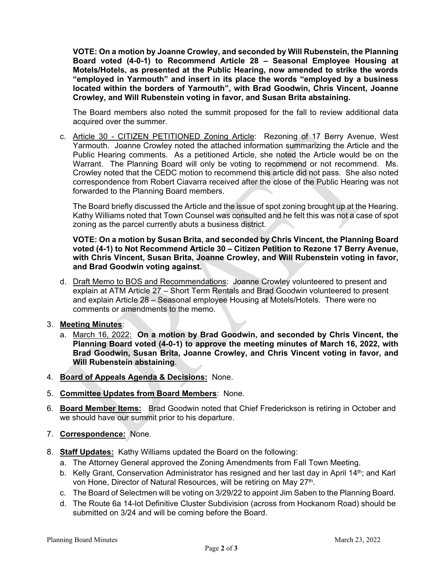**VOTE: On a motion by Joanne Crowley, and seconded by Will Rubenstein, the Planning Board voted (4-0-1) to Recommend Article 28 – Seasonal Employee Housing at Motels/Hotels, as presented at the Public Hearing, now amended to strike the words "employed in Yarmouth" and insert in its place the words "employed by a business located within the borders of Yarmouth", with Brad Goodwin, Chris Vincent, Joanne Crowley, and Will Rubenstein voting in favor, and Susan Brita abstaining.** 

The Board members also noted the summit proposed for the fall to review additional data acquired over the summer.

c. Article 30 - CITIZEN PETITIONED Zoning Article: Rezoning of 17 Berry Avenue, West Yarmouth. Joanne Crowley noted the attached information summarizing the Article and the Public Hearing comments. As a petitioned Article, she noted the Article would be on the Warrant. The Planning Board will only be voting to recommend or not recommend. Ms. Crowley noted that the CEDC motion to recommend this article did not pass. She also noted correspondence from Robert Ciavarra received after the close of the Public Hearing was not forwarded to the Planning Board members.

The Board briefly discussed the Article and the issue of spot zoning brought up at the Hearing. Kathy Williams noted that Town Counsel was consulted and he felt this was not a case of spot zoning as the parcel currently abuts a business district.

**VOTE: On a motion by Susan Brita, and seconded by Chris Vincent, the Planning Board voted (4-1) to Not Recommend Article 30 – Citizen Petition to Rezone 17 Berry Avenue, with Chris Vincent, Susan Brita, Joanne Crowley, and Will Rubenstein voting in favor, and Brad Goodwin voting against.** 

d. Draft Memo to BOS and Recommendations: Joanne Crowley volunteered to present and explain at ATM Article 27 – Short Term Rentals and Brad Goodwin volunteered to present and explain Article 28 – Seasonal employee Housing at Motels/Hotels. There were no comments or amendments to the memo.

3. **Meeting Minutes**:

- a. March 16, 2022: **On a motion by Brad Goodwin, and seconded by Chris Vincent, the Planning Board voted (4-0-1) to approve the meeting minutes of March 16, 2022, with Brad Goodwin, Susan Brita, Joanne Crowley, and Chris Vincent voting in favor, and Will Rubenstein abstaining**.
- 4. **Board of Appeals Agenda & Decisions:** None.
- 5. **Committee Updates from Board Members**: None.
- 6. **Board Member Items:** Brad Goodwin noted that Chief Frederickson is retiring in October and we should have our summit prior to his departure.
- 7. **Correspondence:** None.
- 8. **Staff Updates:** Kathy Williams updated the Board on the following:
	- a. The Attorney General approved the Zoning Amendments from Fall Town Meeting.
	- b. Kelly Grant, Conservation Administrator has resigned and her last day in April 14<sup>th</sup>; and Karl von Hone, Director of Natural Resources, will be retiring on May 27th.
	- c. The Board of Selectmen will be voting on 3/29/22 to appoint Jim Saben to the Planning Board.
	- d. The Route 6a 14-lot Definitive Cluster Subdivision (across from Hockanom Road) should be submitted on 3/24 and will be coming before the Board.